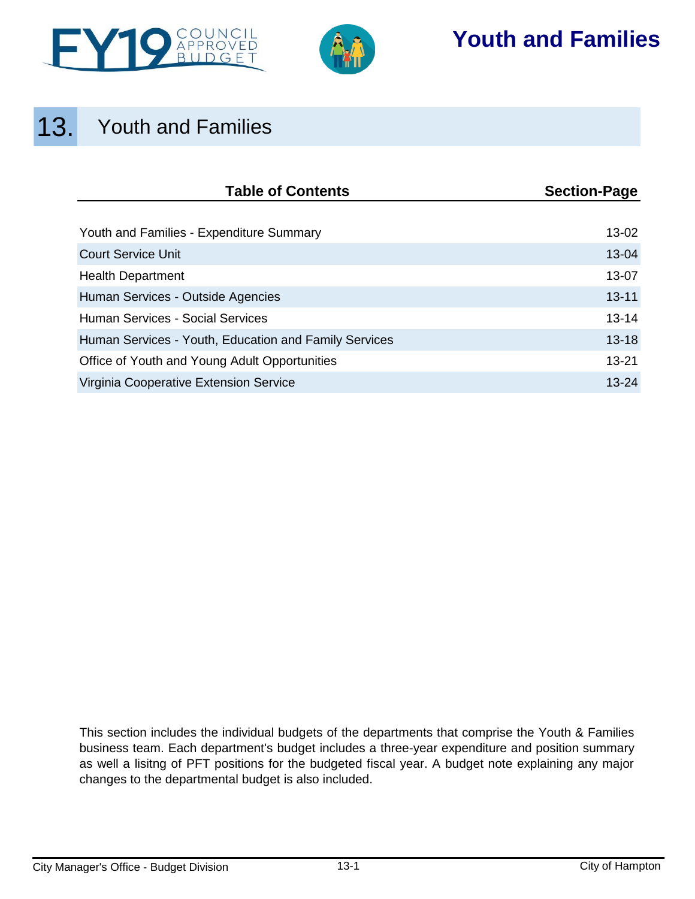



# **Youth and Families**

# 13. Youth and Families

| <b>Table of Contents</b>                              | <b>Section-Page</b> |
|-------------------------------------------------------|---------------------|
|                                                       |                     |
| Youth and Families - Expenditure Summary              | 13-02               |
| <b>Court Service Unit</b>                             | 13-04               |
| <b>Health Department</b>                              | 13-07               |
| Human Services - Outside Agencies                     | $13 - 11$           |
| <b>Human Services - Social Services</b>               | $13 - 14$           |
| Human Services - Youth, Education and Family Services | $13 - 18$           |
| Office of Youth and Young Adult Opportunities         | $13 - 21$           |
| Virginia Cooperative Extension Service                | $13 - 24$           |

This section includes the individual budgets of the departments that comprise the Youth & Families business team. Each department's budget includes a three-year expenditure and position summary as well a lisitng of PFT positions for the budgeted fiscal year. A budget note explaining any major changes to the departmental budget is also included.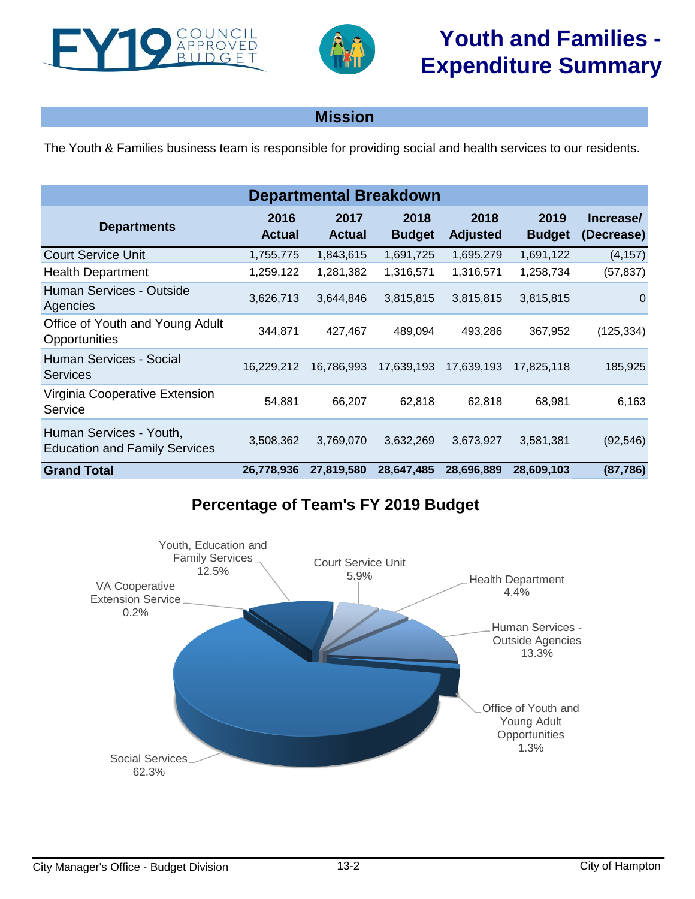<span id="page-1-0"></span>



## **Mission**

The Youth & Families business team is responsible for providing social and health services to our residents.

| <b>Departmental Breakdown</b>                                   |                       |                       |                       |                         |                       |                         |  |  |  |  |
|-----------------------------------------------------------------|-----------------------|-----------------------|-----------------------|-------------------------|-----------------------|-------------------------|--|--|--|--|
| <b>Departments</b>                                              | 2016<br><b>Actual</b> | 2017<br><b>Actual</b> | 2018<br><b>Budget</b> | 2018<br><b>Adjusted</b> | 2019<br><b>Budget</b> | Increase/<br>(Decrease) |  |  |  |  |
| <b>Court Service Unit</b>                                       | 1,755,775             | 1,843,615             | 1,691,725             | 1,695,279               | 1,691,122             | (4, 157)                |  |  |  |  |
| <b>Health Department</b>                                        | 1,259,122             | 1,281,382             | 1,316,571             | 1,316,571               | 1,258,734             | (57, 837)               |  |  |  |  |
| Human Services - Outside<br>Agencies                            | 3,626,713             | 3,644,846             | 3,815,815             | 3,815,815               | 3,815,815             | $\Omega$                |  |  |  |  |
| Office of Youth and Young Adult<br>Opportunities                | 344,871               | 427,467               | 489,094               | 493,286                 | 367,952               | (125, 334)              |  |  |  |  |
| Human Services - Social<br><b>Services</b>                      | 16,229,212            | 16,786,993            | 17,639,193            | 17,639,193              | 17.825.118            | 185,925                 |  |  |  |  |
| Virginia Cooperative Extension<br>Service                       | 54,881                | 66,207                | 62,818                | 62,818                  | 68,981                | 6,163                   |  |  |  |  |
| Human Services - Youth,<br><b>Education and Family Services</b> | 3,508,362             | 3,769,070             | 3,632,269             | 3,673,927               | 3,581,381             | (92, 546)               |  |  |  |  |
| <b>Grand Total</b>                                              | 26,778,936            | 27,819,580            | 28,647,485            | 28,696,889              | 28,609,103            | (87, 786)               |  |  |  |  |

# **Percentage of Team's FY 2019 Budget**

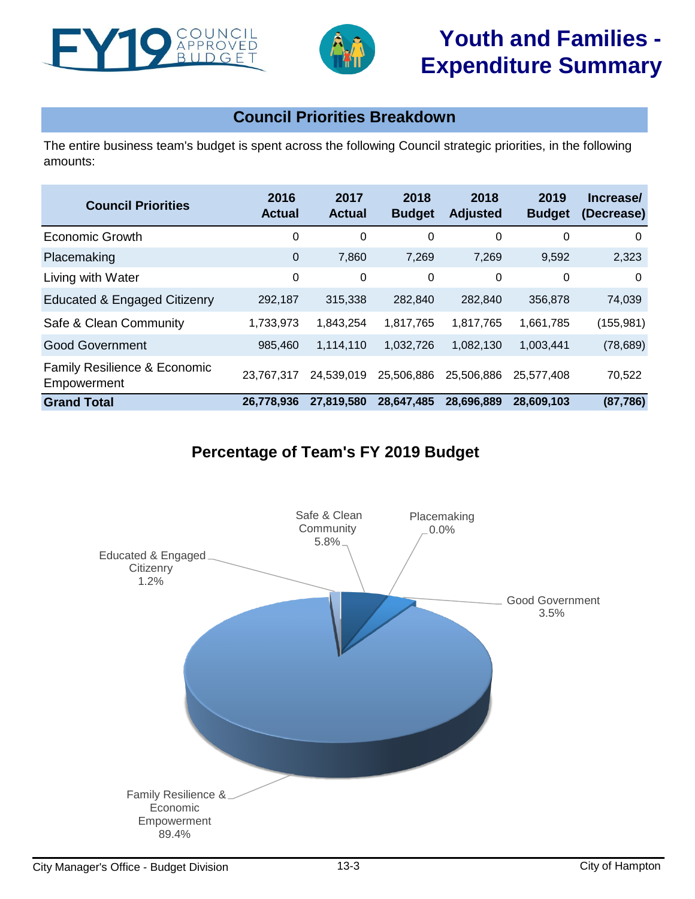



# **Youth and Families - Expenditure Summary**

# **Council Priorities Breakdown**

The entire business team's budget is spent across the following Council strategic priorities, in the following amounts:

| <b>Council Priorities</b>                              | 2016<br><b>Actual</b> | 2017<br><b>Actual</b> | 2018<br><b>Budget</b> | 2018<br><b>Adjusted</b> | 2019<br><b>Budget</b> | Increase/<br>(Decrease) |
|--------------------------------------------------------|-----------------------|-----------------------|-----------------------|-------------------------|-----------------------|-------------------------|
| <b>Economic Growth</b>                                 | 0                     | 0                     | 0                     | 0                       | 0                     | 0                       |
| Placemaking                                            | $\overline{0}$        | 7,860                 | 7,269                 | 7,269                   | 9,592                 | 2,323                   |
| Living with Water                                      | 0                     | 0                     | 0                     | 0                       | 0                     | $\Omega$                |
| Educated & Engaged Citizenry                           | 292,187               | 315,338               | 282,840               | 282,840                 | 356,878               | 74,039                  |
| Safe & Clean Community                                 | 1,733,973             | 1,843,254             | 1,817,765             | 1,817,765               | 1,661,785             | (155, 981)              |
| <b>Good Government</b>                                 | 985,460               | 1,114,110             | 1,032,726             | 1,082,130               | 1,003,441             | (78, 689)               |
| <b>Family Resilience &amp; Economic</b><br>Empowerment | 23,767,317            | 24,539,019            | 25,506,886            | 25,506,886              | 25.577.408            | 70,522                  |
| <b>Grand Total</b>                                     | 26.778.936            | 27,819,580            | 28,647,485            | 28,696,889              | 28,609,103            | (87, 786)               |

# **Percentage of Team's FY 2019 Budget**

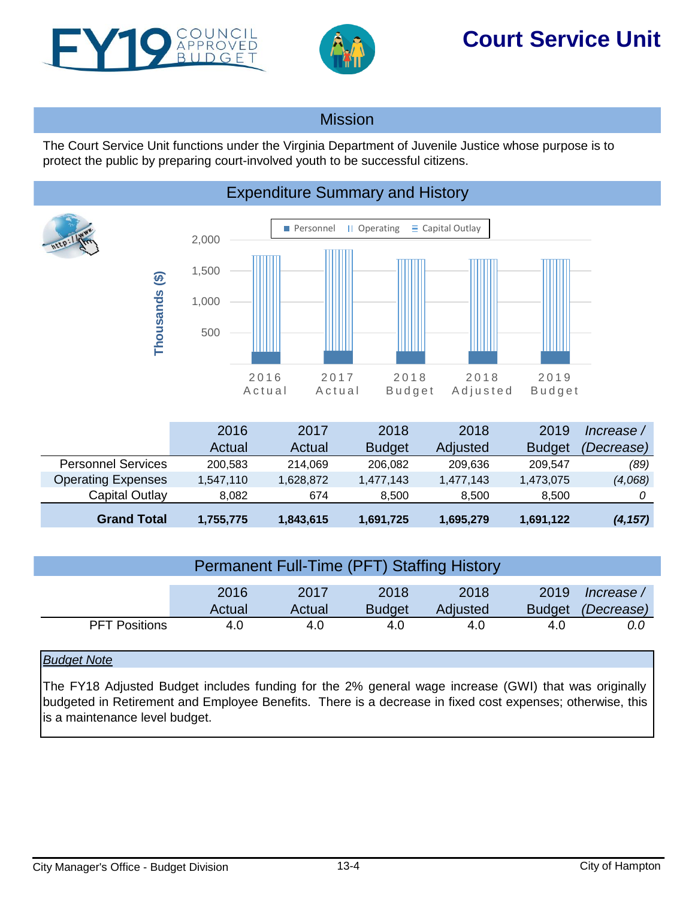<span id="page-3-0"></span>



# **Court Service Unit**

## **Mission**

The Court Service Unit functions under the Virginia Department of Juvenile Justice whose purpose is to protect the public by preparing court-involved youth to be successful citizens.



|                           | 2016      | 2017      | 2018          | 2018      | 2019          | Increase          |
|---------------------------|-----------|-----------|---------------|-----------|---------------|-------------------|
|                           | Actual    | Actual    | <b>Budget</b> | Adjusted  | <b>Budget</b> | <i>(Decrease)</i> |
| <b>Personnel Services</b> | 200,583   | 214.069   | 206,082       | 209,636   | 209.547       | (89)              |
| <b>Operating Expenses</b> | 1,547,110 | 1,628,872 | 1,477,143     | 1,477,143 | 1,473,075     | (4,068)           |
| Capital Outlay            | 8.082     | 674       | 8.500         | 8.500     | 8.500         |                   |
| <b>Grand Total</b>        | 1,755,775 | 1,843,615 | 1,691,725     | 1,695,279 | 1,691,122     | (4, 157)          |

| <b>Permanent Full-Time (PFT) Staffing History</b> |        |        |               |          |               |            |  |  |
|---------------------------------------------------|--------|--------|---------------|----------|---------------|------------|--|--|
|                                                   | 2016   | 2017   | 2018          | 2018     | 2019          | lncrease / |  |  |
|                                                   | Actual | Actual | <b>Budget</b> | Adjusted | <b>Budget</b> | (Decrease) |  |  |
| <b>PFT Positions</b>                              | 4.0    | 4.0    | 4.0           | 4.0      | 4.0           | 0.0        |  |  |

## *Budget Note*

The FY18 Adjusted Budget includes funding for the 2% general wage increase (GWI) that was originally budgeted in Retirement and Employee Benefits. There is a decrease in fixed cost expenses; otherwise, this is a maintenance level budget.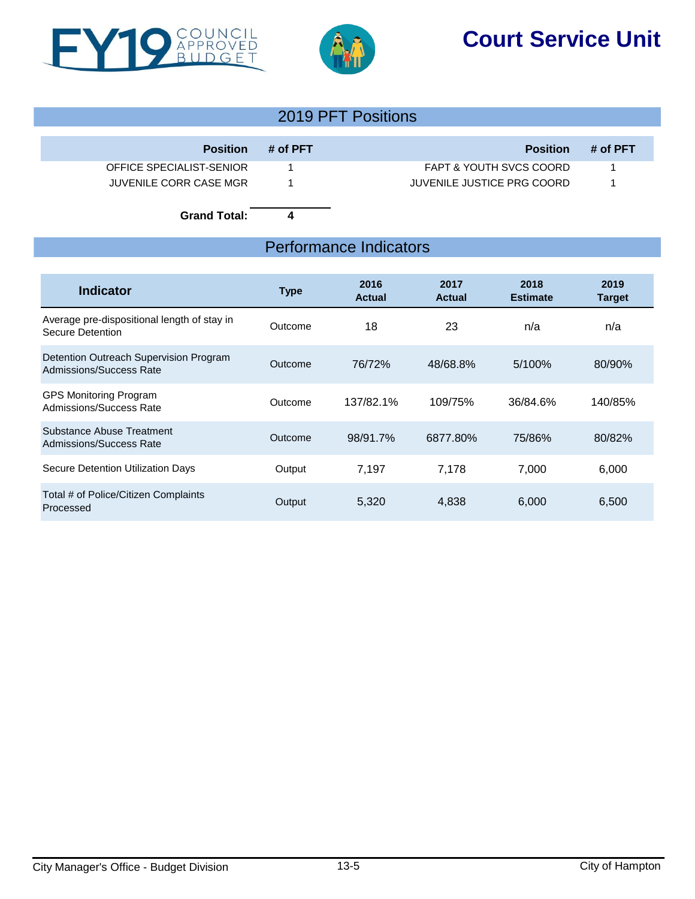





## 2019 PFT Positions

| <b>Position</b>          | # of PFT | <b>Position</b>            | # of PFT |
|--------------------------|----------|----------------------------|----------|
| OFFICE SPECIALIST-SENIOR |          | FAPT & YOUTH SVCS COORD    |          |
| JUVENILE CORR CASE MGR   |          | JUVENILE JUSTICE PRG COORD |          |

**Grand Total: 4**

## Performance Indicators

| <b>Indicator</b>                                                  | <b>Type</b> | 2016<br><b>Actual</b> | 2017<br>Actual | 2018<br><b>Estimate</b> | 2019<br><b>Target</b> |
|-------------------------------------------------------------------|-------------|-----------------------|----------------|-------------------------|-----------------------|
| Average pre-dispositional length of stay in<br>Secure Detention   | Outcome     | 18                    | 23             | n/a                     | n/a                   |
| Detention Outreach Supervision Program<br>Admissions/Success Rate | Outcome     | 76/72%                | 48/68.8%       | $5/100\%$               | 80/90%                |
| <b>GPS Monitoring Program</b><br>Admissions/Success Rate          | Outcome     | 137/82.1%             | 109/75%        | 36/84.6%                | 140/85%               |
| Substance Abuse Treatment<br>Admissions/Success Rate              | Outcome     | 98/91.7%              | 6877.80%       | 75/86%                  | 80/82%                |
| Secure Detention Utilization Days                                 | Output      | 7,197                 | 7.178          | 7,000                   | 6,000                 |
| Total # of Police/Citizen Complaints<br>Processed                 | Output      | 5,320                 | 4,838          | 6,000                   | 6,500                 |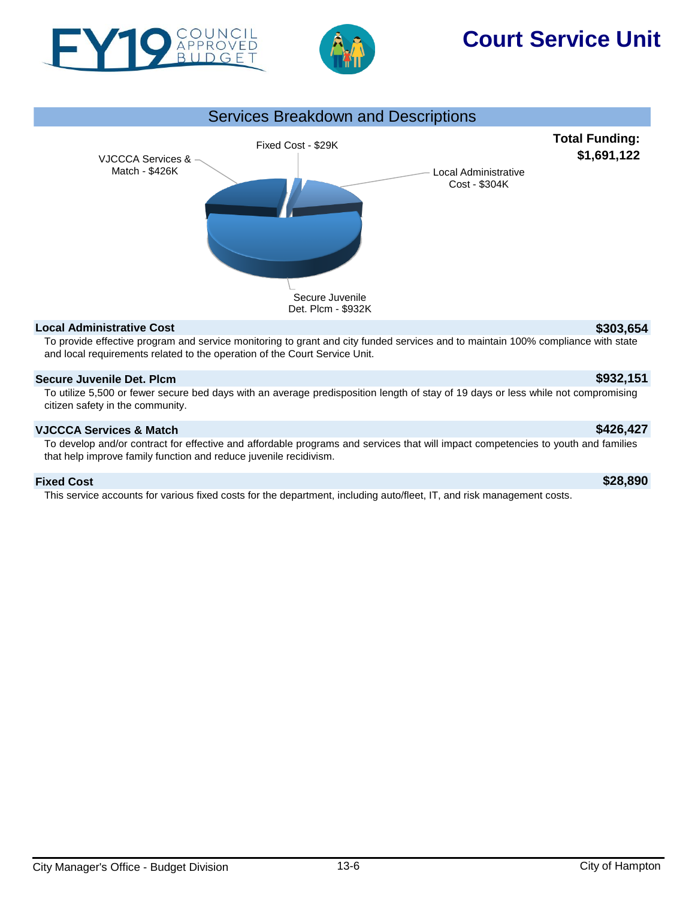



# **Court Service Unit**



### **Local Administrative Cost \$303,654**

To provide effective program and service monitoring to grant and city funded services and to maintain 100% compliance with state and local requirements related to the operation of the Court Service Unit.

### **Secure Juvenile Det. Plcm \$932,151**

To utilize 5,500 or fewer secure bed days with an average predisposition length of stay of 19 days or less while not compromising citizen safety in the community.

### **VJCCCA Services & Match \$426,427**

To develop and/or contract for effective and affordable programs and services that will impact competencies to youth and families that help improve family function and reduce juvenile recidivism.

### **Fixed Cost \$28,890**

This service accounts for various fixed costs for the department, including auto/fleet, IT, and risk management costs.

City Manager's Office - Budget Division **13-6** City of Hampton City of Hampton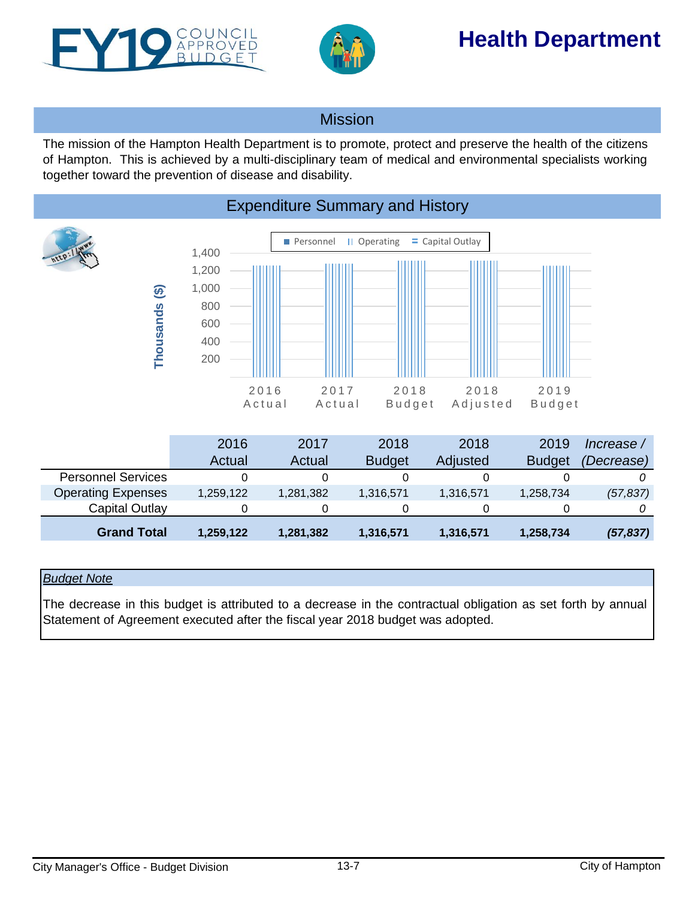<span id="page-6-0"></span>



# **Health Department**

## Mission

The mission of the Hampton Health Department is to promote, protect and preserve the health of the citizens of Hampton. This is achieved by a multi-disciplinary team of medical and environmental specialists working together toward the prevention of disease and disability.



|                           | 2016      | 2017      | 2018          | 2018      | 2019          | Increase /        |
|---------------------------|-----------|-----------|---------------|-----------|---------------|-------------------|
|                           | Actual    | Actual    | <b>Budget</b> | Adjusted  | <b>Budget</b> | <i>(Decrease)</i> |
| <b>Personnel Services</b> |           |           |               |           |               |                   |
| <b>Operating Expenses</b> | 1,259,122 | 1,281,382 | 1,316,571     | 1,316,571 | 1,258,734     | (57, 837)         |
| Capital Outlay            |           | 0         |               |           |               |                   |
| <b>Grand Total</b>        | 1,259,122 | 1,281,382 | 1,316,571     | 1,316,571 | 1,258,734     | (57, 837)         |

### *Budget Note*

The decrease in this budget is attributed to a decrease in the contractual obligation as set forth by annual Statement of Agreement executed after the fiscal year 2018 budget was adopted.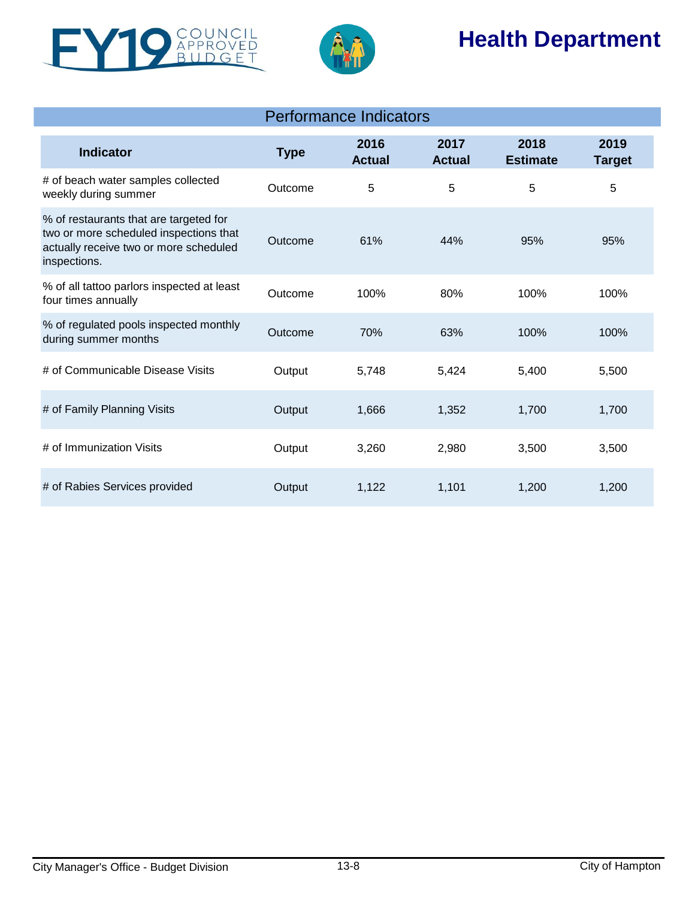



# **Health Department**

| <b>Indicator</b>                                                                                                                           | <b>Type</b> | 2016<br><b>Actual</b> | 2017<br><b>Actual</b> | 2018<br><b>Estimate</b> | 2019<br><b>Target</b> |
|--------------------------------------------------------------------------------------------------------------------------------------------|-------------|-----------------------|-----------------------|-------------------------|-----------------------|
| # of beach water samples collected<br>weekly during summer                                                                                 | Outcome     | 5                     | 5                     | 5                       | 5                     |
| % of restaurants that are targeted for<br>two or more scheduled inspections that<br>actually receive two or more scheduled<br>inspections. | Outcome     | 61%                   | 44%                   | 95%                     | 95%                   |
| % of all tattoo parlors inspected at least<br>four times annually                                                                          | Outcome     | 100%                  | 80%                   | 100%                    | 100%                  |
| % of regulated pools inspected monthly<br>during summer months                                                                             | Outcome     | 70%                   | 63%                   | 100%                    | 100%                  |
| # of Communicable Disease Visits                                                                                                           | Output      | 5,748                 | 5,424                 | 5,400                   | 5,500                 |
| # of Family Planning Visits                                                                                                                | Output      | 1,666                 | 1,352                 | 1,700                   | 1,700                 |
| # of Immunization Visits                                                                                                                   | Output      | 3,260                 | 2,980                 | 3,500                   | 3,500                 |
| # of Rabies Services provided                                                                                                              | Output      | 1,122                 | 1,101                 | 1,200                   | 1,200                 |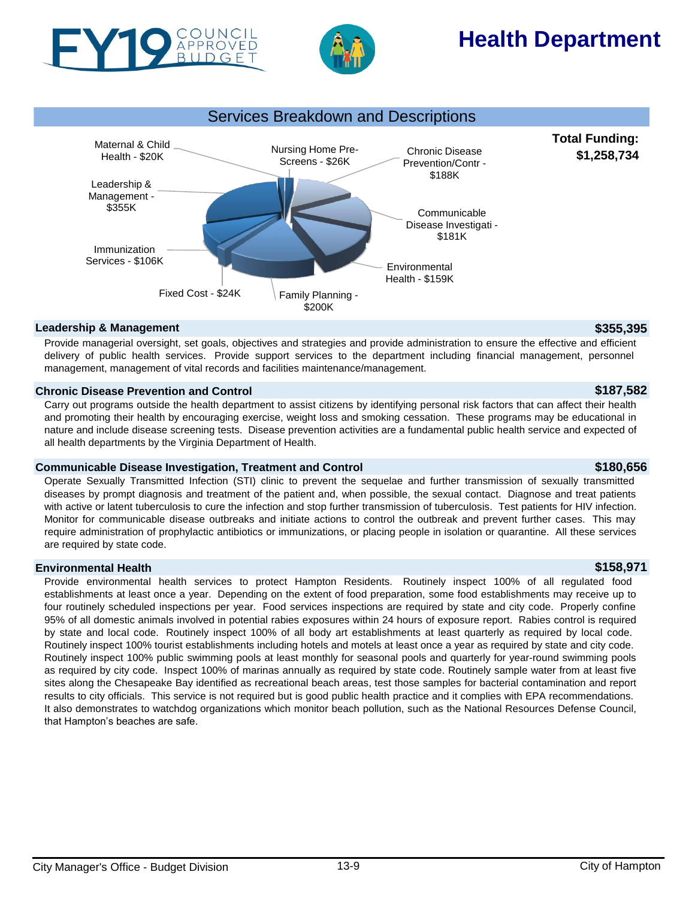

PROVED



# **Health Department**



## **Leadership & Management \$355,395**

Provide managerial oversight, set goals, objectives and strategies and provide administration to ensure the effective and efficient delivery of public health services. Provide support services to the department including financial management, personnel management, management of vital records and facilities maintenance/management.

### **Chronic Disease Prevention and Control \$187,582**

Carry out programs outside the health department to assist citizens by identifying personal risk factors that can affect their health and promoting their health by encouraging exercise, weight loss and smoking cessation. These programs may be educational in nature and include disease screening tests. Disease prevention activities are a fundamental public health service and expected of all health departments by the Virginia Department of Health.

### **Communicable Disease Investigation, Treatment and Control \$180,656**

Operate Sexually Transmitted Infection (STI) clinic to prevent the sequelae and further transmission of sexually transmitted diseases by prompt diagnosis and treatment of the patient and, when possible, the sexual contact. Diagnose and treat patients with active or latent tuberculosis to cure the infection and stop further transmission of tuberculosis. Test patients for HIV infection. Monitor for communicable disease outbreaks and initiate actions to control the outbreak and prevent further cases. This may require administration of prophylactic antibiotics or immunizations, or placing people in isolation or quarantine. All these services are required by state code.

## **Environmental Health \$158,971**

Provide environmental health services to protect Hampton Residents. Routinely inspect 100% of all regulated food establishments at least once a year. Depending on the extent of food preparation, some food establishments may receive up to four routinely scheduled inspections per year. Food services inspections are required by state and city code. Properly confine 95% of all domestic animals involved in potential rabies exposures within 24 hours of exposure report. Rabies control is required by state and local code. Routinely inspect 100% of all body art establishments at least quarterly as required by local code. Routinely inspect 100% tourist establishments including hotels and motels at least once a year as required by state and city code. Routinely inspect 100% public swimming pools at least monthly for seasonal pools and quarterly for year-round swimming pools as required by city code. Inspect 100% of marinas annually as required by state code. Routinely sample water from at least five sites along the Chesapeake Bay identified as recreational beach areas, test those samples for bacterial contamination and report results to city officials. This service is not required but is good public health practice and it complies with EPA recommendations. It also demonstrates to watchdog organizations which monitor beach pollution, such as the National Resources Defense Council, that Hampton's beaches are safe.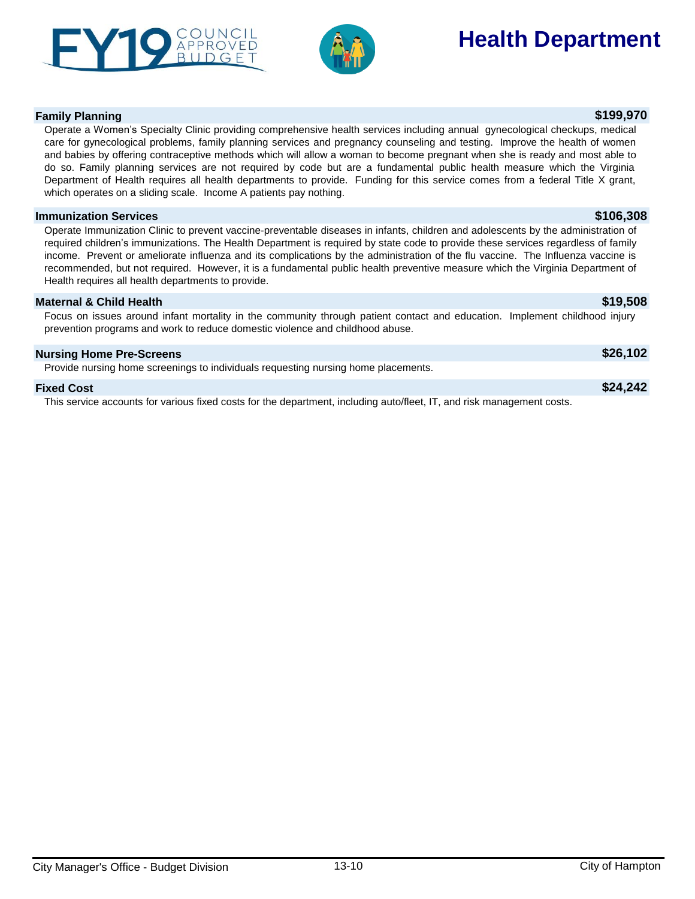



# **Health Department**

### **Family Planning \$199,970**

### Operate a Women's Specialty Clinic providing comprehensive health services including annual gynecological checkups, medical care for gynecological problems, family planning services and pregnancy counseling and testing. Improve the health of women and babies by offering contraceptive methods which will allow a woman to become pregnant when she is ready and most able to do so. Family planning services are not required by code but are a fundamental public health measure which the Virginia Department of Health requires all health departments to provide. Funding for this service comes from a federal Title X grant, which operates on a sliding scale. Income A patients pay nothing.

### **Immunization Services \$106,308**

Operate Immunization Clinic to prevent vaccine-preventable diseases in infants, children and adolescents by the administration of required children's immunizations. The Health Department is required by state code to provide these services regardless of family income. Prevent or ameliorate influenza and its complications by the administration of the flu vaccine. The Influenza vaccine is recommended, but not required. However, it is a fundamental public health preventive measure which the Virginia Department of Health requires all health departments to provide.

### **Maternal & Child Health \$19,508**

Focus on issues around infant mortality in the community through patient contact and education. Implement childhood injury prevention programs and work to reduce domestic violence and childhood abuse.

| <b>Nursing Home Pre-Screens</b>                                                                                        | \$26,102 |
|------------------------------------------------------------------------------------------------------------------------|----------|
| Provide nursing home screenings to individuals requesting nursing home placements.                                     |          |
| <b>Fixed Cost</b>                                                                                                      | \$24,242 |
| This service accounts for various fixed costs for the department, including auto/fleet, IT, and risk management costs. |          |

### City Manager's Office - Budget Division 13-10 City of Hampton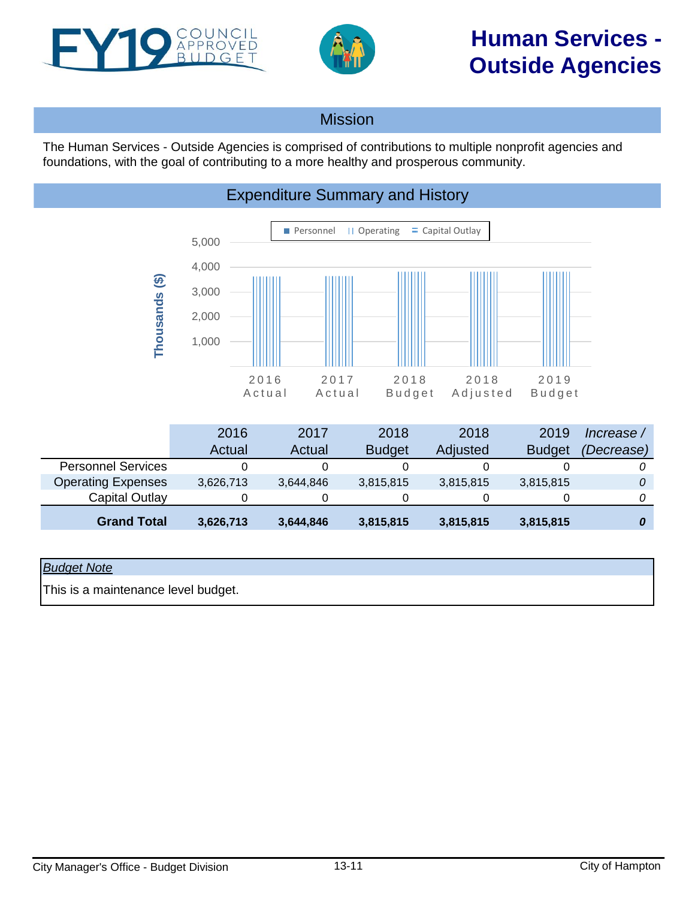<span id="page-10-0"></span>



# **Human Services - Outside Agencies**

## Mission

The Human Services - Outside Agencies is comprised of contributions to multiple nonprofit agencies and foundations, with the goal of contributing to a more healthy and prosperous community.





|                           | 2016      | 2017      | 2018          | 2018      | 2019          | Increase / |
|---------------------------|-----------|-----------|---------------|-----------|---------------|------------|
|                           | Actual    | Actual    | <b>Budget</b> | Adjusted  | <b>Budget</b> | (Decrease) |
| <b>Personnel Services</b> |           |           |               |           |               |            |
| <b>Operating Expenses</b> | 3,626,713 | 3,644,846 | 3,815,815     | 3,815,815 | 3,815,815     |            |
| Capital Outlay            |           |           |               |           |               |            |
| <b>Grand Total</b>        | 3,626,713 | 3,644,846 | 3,815,815     | 3,815,815 | 3,815,815     |            |

### *Budget Note*

This is a maintenance level budget.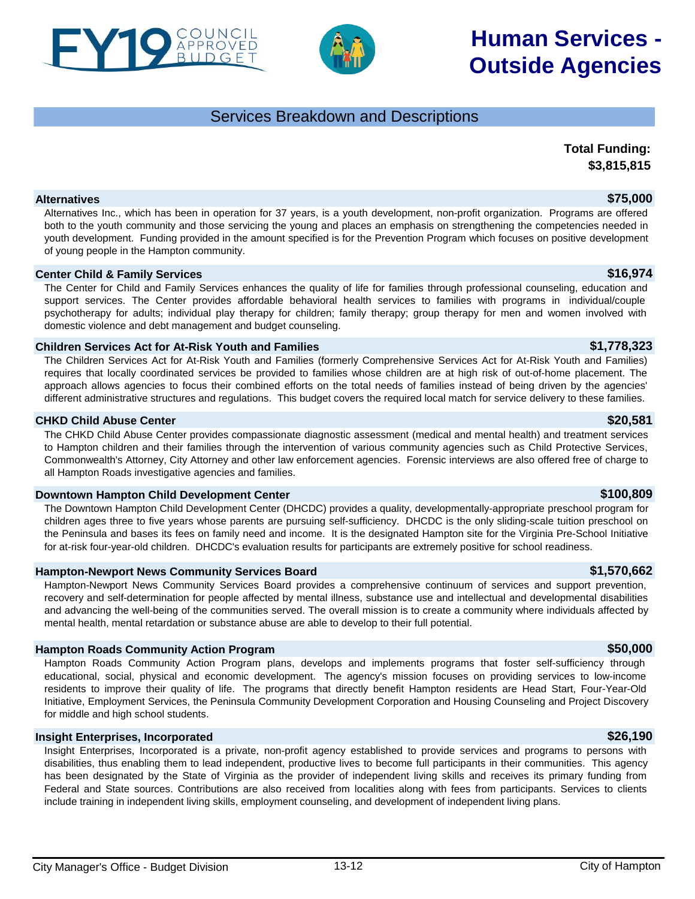## Services Breakdown and Descriptions

**Total Funding: \$3,815,815**

**Human Services -**

**Outside Agencies**

## City Manager's Office - Budget Division 13-12 City of Hampton

**Alternatives \$75,000** Alternatives Inc., which has been in operation for 37 years, is a youth development, non-profit organization. Programs are offered both to the youth community and those servicing the young and places an emphasis on strengthening the competencies needed in youth development. Funding provided in the amount specified is for the Prevention Program which focuses on positive development of young people in the Hampton community.

### **Center Child & Family Services \$16,974**

The Center for Child and Family Services enhances the quality of life for families through professional counseling, education and support services. The Center provides affordable behavioral health services to families with programs in individual/couple psychotherapy for adults; individual play therapy for children; family therapy; group therapy for men and women involved with domestic violence and debt management and budget counseling.

### **Children Services Act for At-Risk Youth and Families \$1,778,323**

The Children Services Act for At-Risk Youth and Families (formerly Comprehensive Services Act for At-Risk Youth and Families) requires that locally coordinated services be provided to families whose children are at high risk of out-of-home placement. The approach allows agencies to focus their combined efforts on the total needs of families instead of being driven by the agencies' different administrative structures and regulations. This budget covers the required local match for service delivery to these families.

### **CHKD Child Abuse Center \$20,581**

The CHKD Child Abuse Center provides compassionate diagnostic assessment (medical and mental health) and treatment services to Hampton children and their families through the intervention of various community agencies such as Child Protective Services, Commonwealth's Attorney, City Attorney and other law enforcement agencies. Forensic interviews are also offered free of charge to all Hampton Roads investigative agencies and families.

### **Downtown Hampton Child Development Center \$100,809**

The Downtown Hampton Child Development Center (DHCDC) provides a quality, developmentally-appropriate preschool program for children ages three to five years whose parents are pursuing self-sufficiency. DHCDC is the only sliding-scale tuition preschool on the Peninsula and bases its fees on family need and income. It is the designated Hampton site for the Virginia Pre-School Initiative for at-risk four-year-old children. DHCDC's evaluation results for participants are extremely positive for school readiness.

### **Hampton-Newport News Community Services Board \$1,570,662**

Hampton-Newport News Community Services Board provides a comprehensive continuum of services and support prevention, recovery and self-determination for people affected by mental illness, substance use and intellectual and developmental disabilities and advancing the well-being of the communities served. The overall mission is to create a community where individuals affected by mental health, mental retardation or substance abuse are able to develop to their full potential.

### **Hampton Roads Community Action Program 1988 1999 12:30 12:30 12:30 12:30 12:30 12:30 12:30 12:30 12:30 12:30 12:30 12:30 12:30 12:30 12:30 12:30 12:30 12:30 12:30 12:30 12:30 12:30 12:30 12:30 12:30 12:30 12:30 12:30**

Hampton Roads Community Action Program plans, develops and implements programs that foster self-sufficiency through educational, social, physical and economic development. The agency's mission focuses on providing services to low-income residents to improve their quality of life. The programs that directly benefit Hampton residents are Head Start, Four-Year-Old Initiative, Employment Services, the Peninsula Community Development Corporation and Housing Counseling and Project Discovery for middle and high school students.

### **Insight Enterprises, Incorporated \$26,190**

Insight Enterprises, Incorporated is a private, non-profit agency established to provide services and programs to persons with disabilities, thus enabling them to lead independent, productive lives to become full participants in their communities. This agency has been designated by the State of Virginia as the provider of independent living skills and receives its primary funding from Federal and State sources. Contributions are also received from localities along with fees from participants. Services to clients include training in independent living skills, employment counseling, and development of independent living plans.



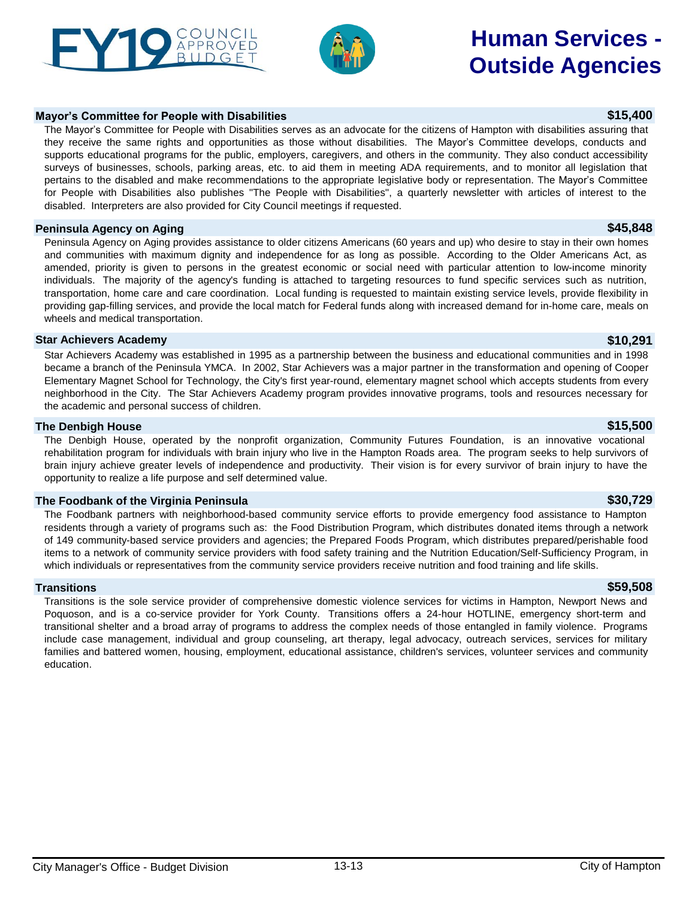### **Peninsula Agency on Aging \$45,848**

Peninsula Agency on Aging provides assistance to older citizens Americans (60 years and up) who desire to stay in their own homes and communities with maximum dignity and independence for as long as possible. According to the Older Americans Act, as amended, priority is given to persons in the greatest economic or social need with particular attention to low-income minority individuals. The majority of the agency's funding is attached to targeting resources to fund specific services such as nutrition, transportation, home care and care coordination. Local funding is requested to maintain existing service levels, provide flexibility in providing gap-filling services, and provide the local match for Federal funds along with increased demand for in-home care, meals on wheels and medical transportation.

### **Star Achievers Academy \$10,291**

Star Achievers Academy was established in 1995 as a partnership between the business and educational communities and in 1998 became a branch of the Peninsula YMCA. In 2002, Star Achievers was a major partner in the transformation and opening of Cooper Elementary Magnet School for Technology, the City's first year-round, elementary magnet school which accepts students from every neighborhood in the City. The Star Achievers Academy program provides innovative programs, tools and resources necessary for the academic and personal success of children.

### **The Denbigh House \$15,500**

The Denbigh House, operated by the nonprofit organization, Community Futures Foundation, is an innovative vocational rehabilitation program for individuals with brain injury who live in the Hampton Roads area. The program seeks to help survivors of brain injury achieve greater levels of independence and productivity. Their vision is for every survivor of brain injury to have the opportunity to realize a life purpose and self determined value.

### **The Foodbank of the Virginia Peninsula \$30,729**

The Foodbank partners with neighborhood-based community service efforts to provide emergency food assistance to Hampton residents through a variety of programs such as: the Food Distribution Program, which distributes donated items through a network of 149 community-based service providers and agencies; the Prepared Foods Program, which distributes prepared/perishable food items to a network of community service providers with food safety training and the Nutrition Education/Self-Sufficiency Program, in which individuals or representatives from the community service providers receive nutrition and food training and life skills.

### **Transitions \$59,508**

Transitions is the sole service provider of comprehensive domestic violence services for victims in Hampton, Newport News and Poquoson, and is a co-service provider for York County. Transitions offers a 24-hour HOTLINE, emergency short-term and transitional shelter and a broad array of programs to address the complex needs of those entangled in family violence. Programs include case management, individual and group counseling, art therapy, legal advocacy, outreach services, services for military families and battered women, housing, employment, educational assistance, children's services, volunteer services and community education.

The Mayor's Committee for People with Disabilities serves as an advocate for the citizens of Hampton with disabilities assuring that they receive the same rights and opportunities as those without disabilities. The Mayor's Committee develops, conducts and supports educational programs for the public, employers, caregivers, and others in the community. They also conduct accessibility surveys of businesses, schools, parking areas, etc. to aid them in meeting ADA requirements, and to monitor all legislation that pertains to the disabled and make recommendations to the appropriate legislative body or representation. The Mayor's Committee for People with Disabilities also publishes "The People with Disabilities", a quarterly newsletter with articles of interest to the disabled. Interpreters are also provided for City Council meetings if requested.

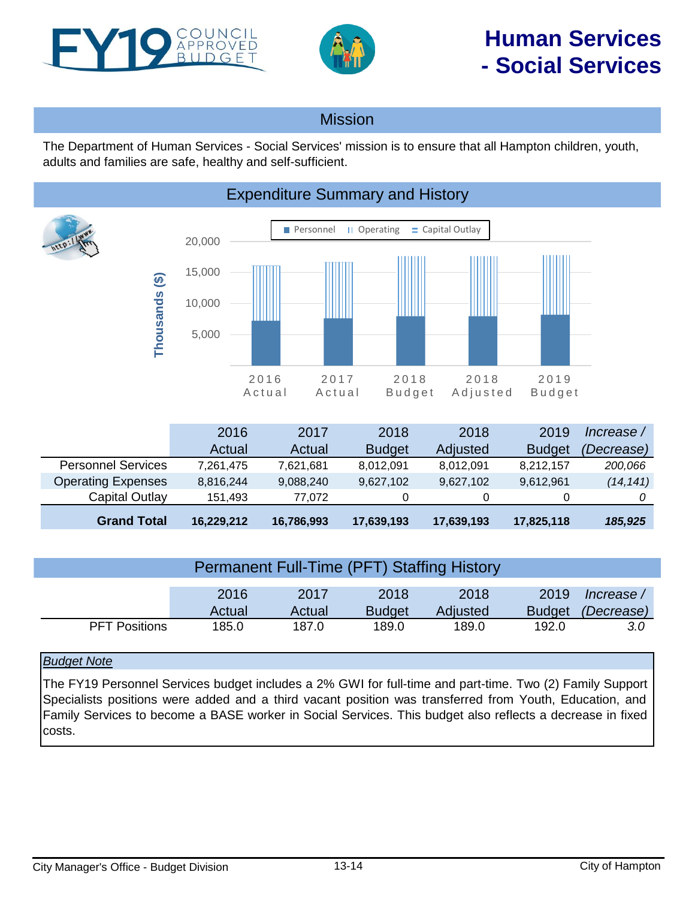<span id="page-13-0"></span>



## Mission

The Department of Human Services - Social Services' mission is to ensure that all Hampton children, youth, adults and families are safe, healthy and self-sufficient.



|                           | 2016       | 2017       | 2018          | 2018       | 2019          | lncrease / |
|---------------------------|------------|------------|---------------|------------|---------------|------------|
|                           | Actual     | Actual     | <b>Budget</b> | Adjusted   | <b>Budget</b> | (Decrease) |
| <b>Personnel Services</b> | 7,261,475  | 7,621,681  | 8,012,091     | 8,012,091  | 8,212,157     | 200,066    |
| <b>Operating Expenses</b> | 8,816,244  | 9,088,240  | 9,627,102     | 9,627,102  | 9,612,961     | (14, 141)  |
| Capital Outlay            | 151,493    | 77.072     |               | 0          |               |            |
| <b>Grand Total</b>        | 16,229,212 | 16,786,993 | 17,639,193    | 17,639,193 | 17,825,118    | 185,925    |

| <b>Permanent Full-Time (PFT) Staffing History</b> |        |        |               |          |               |            |  |  |
|---------------------------------------------------|--------|--------|---------------|----------|---------------|------------|--|--|
|                                                   | 2016   | 2017   | 2018          | 2018     | 2019          | lncrease / |  |  |
|                                                   | Actual | Actual | <b>Budget</b> | Adjusted | <b>Budget</b> | (Decrease) |  |  |
| <b>PFT Positions</b>                              | 185.0  | 187.0  | 189.0         | 189.0    | 192.0         | 3.0        |  |  |

### *Budget Note*

The FY19 Personnel Services budget includes a 2% GWI for full-time and part-time. Two (2) Family Support Specialists positions were added and a third vacant position was transferred from Youth, Education, and Family Services to become a BASE worker in Social Services. This budget also reflects a decrease in fixed costs.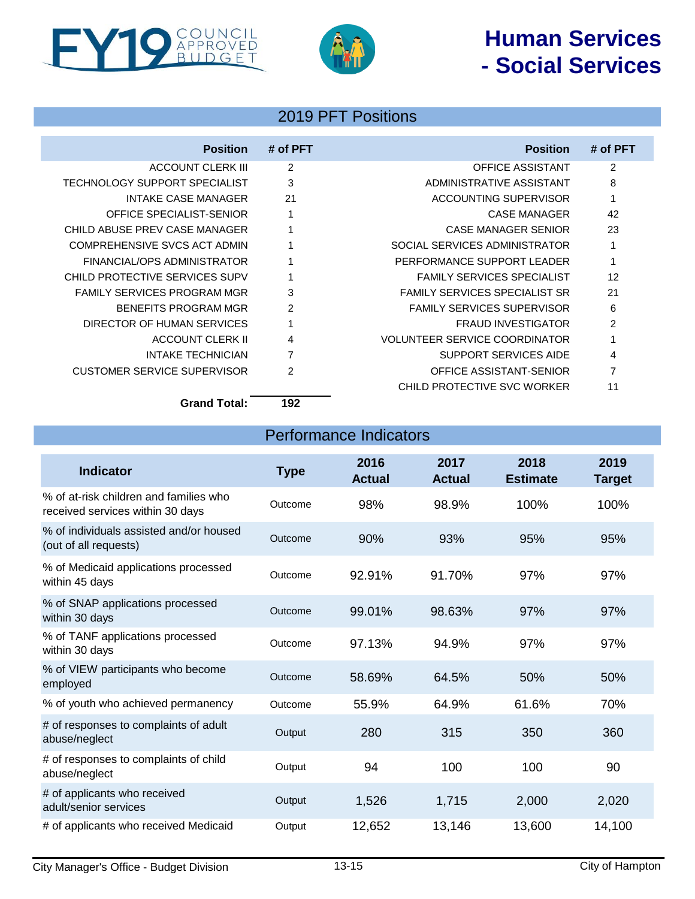# **Human Services - Social Services**





## 2019 PFT Positions

| <b>Position</b>                      | # of PFT                 | <b>Position</b>                      | # of PFT       |
|--------------------------------------|--------------------------|--------------------------------------|----------------|
| ACCOUNT CLERK III                    | 2                        | OFFICE ASSISTANT                     | $\overline{2}$ |
| <b>TECHNOLOGY SUPPORT SPECIALIST</b> | 3                        | ADMINISTRATIVE ASSISTANT             | 8              |
| <b>INTAKE CASE MANAGER</b>           | 21                       | ACCOUNTING SUPERVISOR                | 1              |
| OFFICE SPECIALIST-SENIOR             |                          | <b>CASE MANAGER</b>                  | 42             |
| CHILD ABUSE PREV CASE MANAGER        |                          | <b>CASE MANAGER SENIOR</b>           | 23             |
| COMPREHENSIVE SVCS ACT ADMIN         |                          | SOCIAL SERVICES ADMINISTRATOR        | 1              |
| FINANCIAL/OPS ADMINISTRATOR          |                          | PERFORMANCE SUPPORT LEADER           | $\mathbf{1}$   |
| CHILD PROTECTIVE SERVICES SUPV       |                          | <b>FAMILY SERVICES SPECIALIST</b>    | 12             |
| <b>FAMILY SERVICES PROGRAM MGR</b>   | 3                        | <b>FAMILY SERVICES SPECIALIST SR</b> | 21             |
| BENEFITS PROGRAM MGR                 | $\mathfrak{p}$           | <b>FAMILY SERVICES SUPERVISOR</b>    | 6              |
| DIRECTOR OF HUMAN SERVICES           |                          | <b>FRAUD INVESTIGATOR</b>            | $\mathcal{P}$  |
| ACCOUNT CLERK II                     | 4                        | <b>VOLUNTEER SERVICE COORDINATOR</b> | 1              |
| <b>INTAKE TECHNICIAN</b>             | 7                        | <b>SUPPORT SERVICES AIDE</b>         | 4              |
| <b>CUSTOMER SERVICE SUPERVISOR</b>   | 2                        | OFFICE ASSISTANT-SENIOR              | $\overline{7}$ |
|                                      |                          | CHILD PROTECTIVE SVC WORKER          | 11             |
| - - -                                | $\overline{\phantom{a}}$ |                                      |                |

**Grand Total: 192**

Performance Indicators

| <b>Indicator</b>                                                           | <b>Type</b> | 2016<br><b>Actual</b> | 2017<br><b>Actual</b> | 2018<br><b>Estimate</b> | 2019<br><b>Target</b> |
|----------------------------------------------------------------------------|-------------|-----------------------|-----------------------|-------------------------|-----------------------|
| % of at-risk children and families who<br>received services within 30 days | Outcome     | 98%                   | 98.9%                 | 100%                    | 100%                  |
| % of individuals assisted and/or housed<br>(out of all requests)           | Outcome     | 90%                   | 93%                   | 95%                     | 95%                   |
| % of Medicaid applications processed<br>within 45 days                     | Outcome     | 92.91%                | 91.70%                | 97%                     | 97%                   |
| % of SNAP applications processed<br>within 30 days                         | Outcome     | 99.01%                | 98.63%                | 97%                     | 97%                   |
| % of TANF applications processed<br>within 30 days                         | Outcome     | 97.13%                | 94.9%                 | 97%                     | 97%                   |
| % of VIEW participants who become<br>employed                              | Outcome     | 58.69%                | 64.5%                 | 50%                     | 50%                   |
| % of youth who achieved permanency                                         | Outcome     | 55.9%                 | 64.9%                 | 61.6%                   | 70%                   |
| # of responses to complaints of adult<br>abuse/neglect                     | Output      | 280                   | 315                   | 350                     | 360                   |
| # of responses to complaints of child<br>abuse/neglect                     | Output      | 94                    | 100                   | 100                     | 90                    |
| # of applicants who received<br>adult/senior services                      | Output      | 1,526                 | 1,715                 | 2,000                   | 2,020                 |
| # of applicants who received Medicaid                                      | Output      | 12,652                | 13,146                | 13,600                  | 14,100                |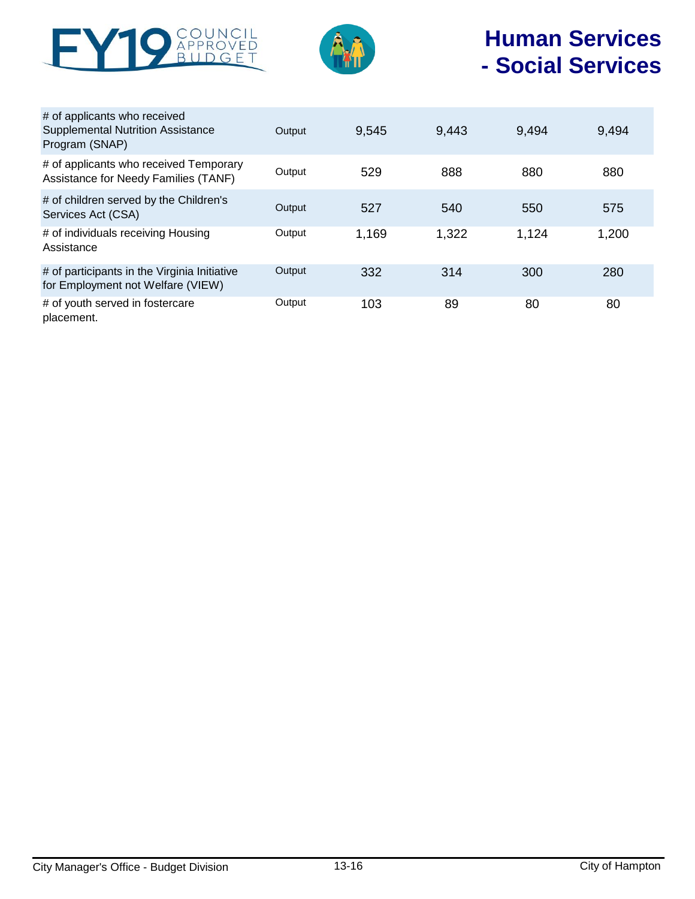



# **Human Services - Social Services**

| # of applicants who received<br><b>Supplemental Nutrition Assistance</b><br>Program (SNAP) | Output | 9,545 | 9,443 | 9,494 | 9,494 |
|--------------------------------------------------------------------------------------------|--------|-------|-------|-------|-------|
| # of applicants who received Temporary<br>Assistance for Needy Families (TANF)             | Output | 529   | 888   | 880   | 880   |
| # of children served by the Children's<br>Services Act (CSA)                               | Output | 527   | 540   | 550   | 575   |
| # of individuals receiving Housing<br>Assistance                                           | Output | 1,169 | 1,322 | 1,124 | 1,200 |
| # of participants in the Virginia Initiative<br>for Employment not Welfare (VIEW)          | Output | 332   | 314   | 300   | 280   |
| # of youth served in fostercare<br>placement.                                              | Output | 103   | 89    | 80    | 80    |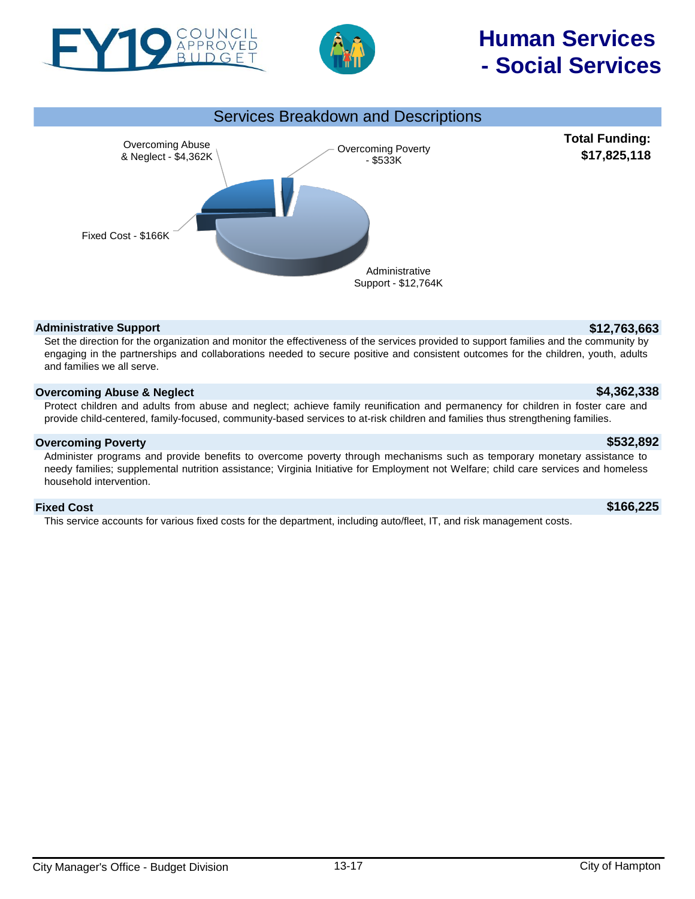

PPROVED

# Services Breakdown and Descriptions



### **Administrative Support \$12,763,663**

Set the direction for the organization and monitor the effectiveness of the services provided to support families and the community by engaging in the partnerships and collaborations needed to secure positive and consistent outcomes for the children, youth, adults and families we all serve.

### **Overcoming Abuse & Neglect \$4,362,338**

Protect children and adults from abuse and neglect; achieve family reunification and permanency for children in foster care and provide child-centered, family-focused, community-based services to at-risk children and families thus strengthening families.

### **Overcoming Poverty \$532,892**

Administer programs and provide benefits to overcome poverty through mechanisms such as temporary monetary assistance to needy families; supplemental nutrition assistance; Virginia Initiative for Employment not Welfare; child care services and homeless household intervention.

### **Fixed Cost \$166,225**

This service accounts for various fixed costs for the department, including auto/fleet, IT, and risk management costs.

# **Human Services - Social Services**

**Total Funding: \$17,825,118**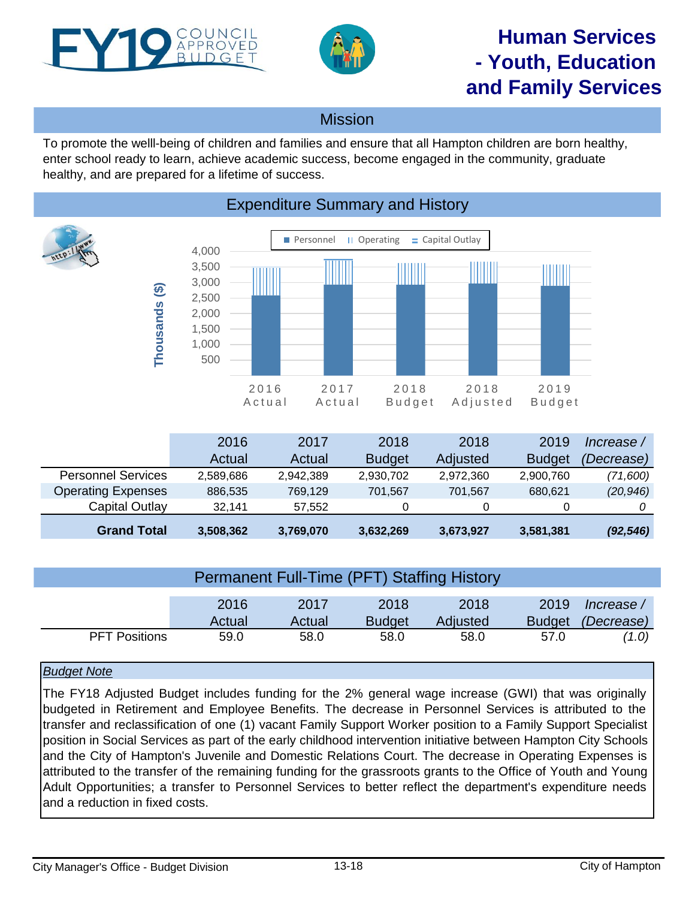<span id="page-17-0"></span>



# **Human Services - Youth, Education and Family Services**

## Mission

To promote the welll-being of children and families and ensure that all Hampton children are born healthy, enter school ready to learn, achieve academic success, become engaged in the community, graduate healthy, and are prepared for a lifetime of success.



|                           | 2016      | 2017      | 2018          | 2018      | 2019          | lncrease / |
|---------------------------|-----------|-----------|---------------|-----------|---------------|------------|
|                           | Actual    | Actual    | <b>Budget</b> | Adjusted  | <b>Budget</b> | (Decrease) |
| <b>Personnel Services</b> | 2,589,686 | 2,942,389 | 2,930,702     | 2,972,360 | 2,900,760     | (71,600)   |
| <b>Operating Expenses</b> | 886,535   | 769.129   | 701.567       | 701,567   | 680.621       | (20, 946)  |
| Capital Outlay            | 32.141    | 57.552    | 0             | 0         | 0             |            |
| <b>Grand Total</b>        | 3,508,362 | 3,769,070 | 3,632,269     | 3,673,927 | 3,581,381     | (92, 546)  |

| Permanent Full-Time (PFT) Staffing History |        |        |               |          |               |            |  |  |
|--------------------------------------------|--------|--------|---------------|----------|---------------|------------|--|--|
|                                            | 2016   | 2017   | 2018          | 2018     | 2019          | Increase / |  |  |
|                                            | Actual | Actual | <b>Budget</b> | Adjusted | <b>Budget</b> | (Decrease) |  |  |
| <b>PFT Positions</b>                       | 59.0   | 58.0   | 58.0          | 58.0     | 57.0          | (1.0)      |  |  |

### *Budget Note*

The FY18 Adjusted Budget includes funding for the 2% general wage increase (GWI) that was originally budgeted in Retirement and Employee Benefits. The decrease in Personnel Services is attributed to the transfer and reclassification of one (1) vacant Family Support Worker position to a Family Support Specialist position in Social Services as part of the early childhood intervention initiative between Hampton City Schools and the City of Hampton's Juvenile and Domestic Relations Court. The decrease in Operating Expenses is attributed to the transfer of the remaining funding for the grassroots grants to the Office of Youth and Young Adult Opportunities; a transfer to Personnel Services to better reflect the department's expenditure needs and a reduction in fixed costs.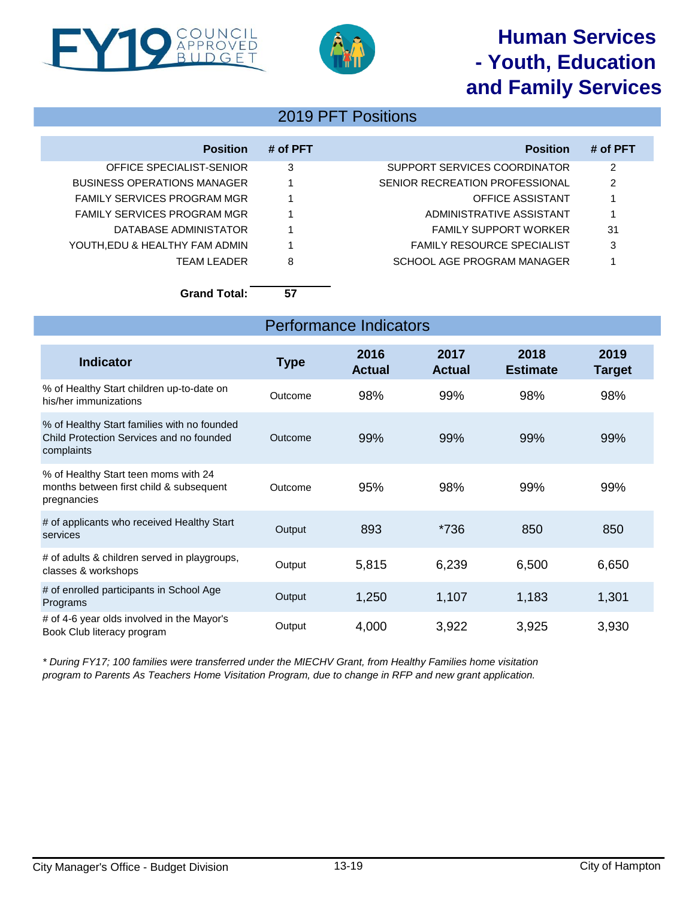# **Human Services - Youth, Education and Family Services**





## 2019 PFT Positions

| <b>Position</b>                    | # of PFT | <b>Position</b>                   | # of PFT |
|------------------------------------|----------|-----------------------------------|----------|
| OFFICE SPECIALIST-SENIOR           | 3        | SUPPORT SERVICES COORDINATOR      | 2        |
| <b>BUSINESS OPERATIONS MANAGER</b> |          | SENIOR RECREATION PROFESSIONAL    | 2        |
| FAMILY SERVICES PROGRAM MGR        |          | OFFICE ASSISTANT                  |          |
| FAMILY SERVICES PROGRAM MGR        |          | ADMINISTRATIVE ASSISTANT          |          |
| DATABASE ADMINISTATOR              |          | <b>FAMILY SUPPORT WORKER</b>      | 31       |
| YOUTH, EDU & HEALTHY FAM ADMIN     |          | <b>FAMILY RESOURCE SPECIALIST</b> | 3        |
| <b>TFAM LEADER</b>                 | 8        | SCHOOL AGE PROGRAM MANAGER        |          |

**Grand Total: 57**

| <b>Performance Indicators</b>                                                                         |             |                       |                       |                         |                |  |  |
|-------------------------------------------------------------------------------------------------------|-------------|-----------------------|-----------------------|-------------------------|----------------|--|--|
| <b>Indicator</b>                                                                                      | <b>Type</b> | 2016<br><b>Actual</b> | 2017<br><b>Actual</b> | 2018<br><b>Estimate</b> | 2019<br>Target |  |  |
| % of Healthy Start children up-to-date on<br>his/her immunizations                                    | Outcome     | 98%                   | 99%                   | 98%                     | 98%            |  |  |
| % of Healthy Start families with no founded<br>Child Protection Services and no founded<br>complaints | Outcome     | 99%                   | 99%                   | 99%                     | 99%            |  |  |
| % of Healthy Start teen moms with 24<br>months between first child & subsequent<br>pregnancies        | Outcome     | 95%                   | 98%                   | 99%                     | 99%            |  |  |
| # of applicants who received Healthy Start<br>services                                                | Output      | 893                   | *736                  | 850                     | 850            |  |  |
| # of adults & children served in playgroups,<br>classes & workshops                                   | Output      | 5,815                 | 6,239                 | 6,500                   | 6,650          |  |  |
| # of enrolled participants in School Age<br>Programs                                                  | Output      | 1,250                 | 1,107                 | 1,183                   | 1,301          |  |  |
| # of 4-6 year olds involved in the Mayor's<br>Book Club literacy program                              | Output      | 4,000                 | 3,922                 | 3,925                   | 3,930          |  |  |

*\* During FY17; 100 families were transferred under the MIECHV Grant, from Healthy Families home visitation program to Parents As Teachers Home Visitation Program, due to change in RFP and new grant application.*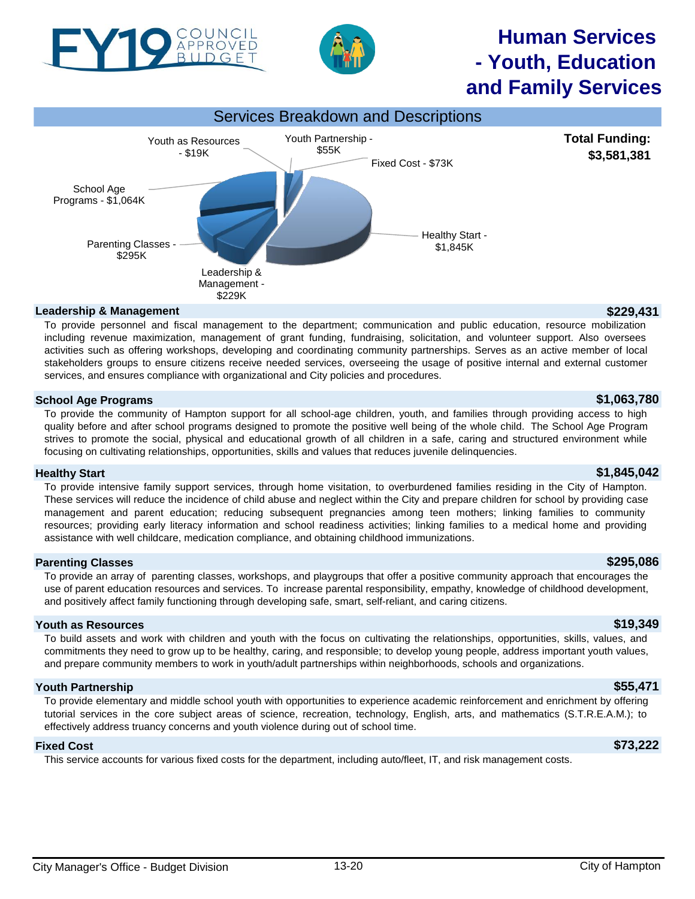# **Human Services - Youth, Education and Family Services**

**Total Funding: \$3,581,381**

including revenue maximization, management of grant funding, fundraising, solicitation, and volunteer support. Also oversees

services, and ensures compliance with organizational and City policies and procedures. **School Age Programs \$1,063,780** To provide the community of Hampton support for all school-age children, youth, and families through providing access to high quality before and after school programs designed to promote the positive well being of the whole child. The School Age Program strives to promote the social, physical and educational growth of all children in a safe, caring and structured environment while

activities such as offering workshops, developing and coordinating community partnerships. Serves as an active member of local stakeholders groups to ensure citizens receive needed services, overseeing the usage of positive internal and external customer

**Healthy Start \$1,845,042**

To provide intensive family support services, through home visitation, to overburdened families residing in the City of Hampton. These services will reduce the incidence of child abuse and neglect within the City and prepare children for school by providing case management and parent education; reducing subsequent pregnancies among teen mothers; linking families to community resources; providing early literacy information and school readiness activities; linking families to a medical home and providing assistance with well childcare, medication compliance, and obtaining childhood immunizations.

### **Parenting Classes \$295,086**

To provide an array of parenting classes, workshops, and playgroups that offer a positive community approach that encourages the use of parent education resources and services. To increase parental responsibility, empathy, knowledge of childhood development, and positively affect family functioning through developing safe, smart, self-reliant, and caring citizens.

### **Youth as Resources \$19,349**

To build assets and work with children and youth with the focus on cultivating the relationships, opportunities, skills, values, and commitments they need to grow up to be healthy, caring, and responsible; to develop young people, address important youth values, and prepare community members to work in youth/adult partnerships within neighborhoods, schools and organizations.

### **Youth Partnership \$55,471**

To provide elementary and middle school youth with opportunities to experience academic reinforcement and enrichment by offering tutorial services in the core subject areas of science, recreation, technology, English, arts, and mathematics (S.T.R.E.A.M.); to effectively address truancy concerns and youth violence during out of school time.

### **Fixed Cost \$73,222**

This service accounts for various fixed costs for the department, including auto/fleet, IT, and risk management costs.



focusing on cultivating relationships, opportunities, skills and values that reduces juvenile delinquencies.

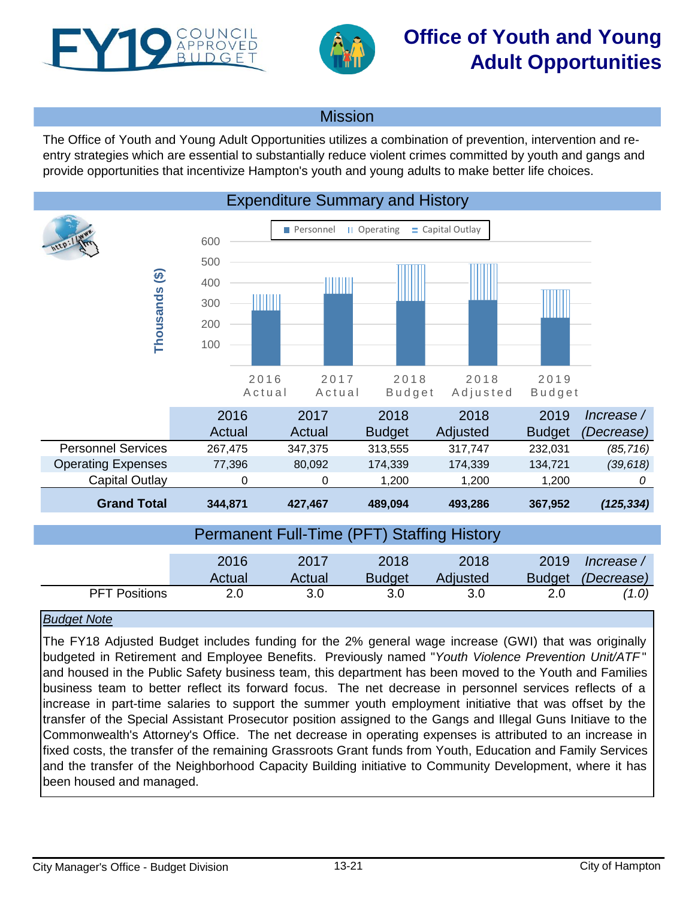<span id="page-20-0"></span>



Mission

The Office of Youth and Young Adult Opportunities utilizes a combination of prevention, intervention and reentry strategies which are essential to substantially reduce violent crimes committed by youth and gangs and provide opportunities that incentivize Hampton's youth and young adults to make better life choices.



### *Budget Note*

The FY18 Adjusted Budget includes funding for the 2% general wage increase (GWI) that was originally budgeted in Retirement and Employee Benefits. Previously named "*Youth Violence Prevention Unit/ATF* " and housed in the Public Safety business team, this department has been moved to the Youth and Families business team to better reflect its forward focus. The net decrease in personnel services reflects of a increase in part-time salaries to support the summer youth employment initiative that was offset by the transfer of the Special Assistant Prosecutor position assigned to the Gangs and Illegal Guns Initiave to the Commonwealth's Attorney's Office. The net decrease in operating expenses is attributed to an increase in fixed costs, the transfer of the remaining Grassroots Grant funds from Youth, Education and Family Services and the transfer of the Neighborhood Capacity Building initiative to Community Development, where it has been housed and managed.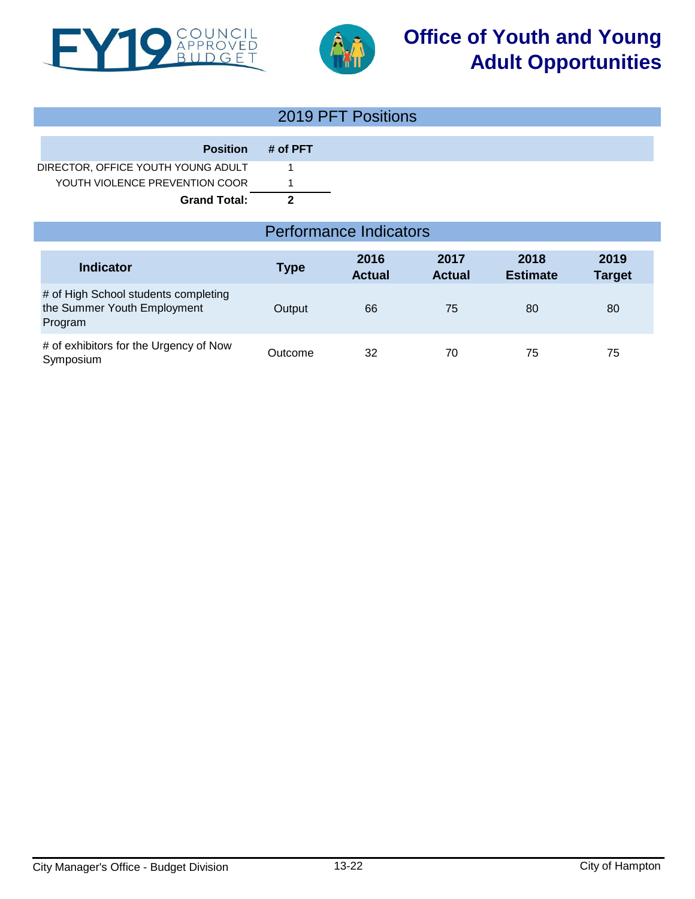



# **Office of Youth and Young Adult Opportunities**

|                                    |          | 2019 PFT Positions |
|------------------------------------|----------|--------------------|
|                                    |          |                    |
| <b>Position</b>                    | # of PFT |                    |
| DIRECTOR, OFFICE YOUTH YOUNG ADULT |          |                    |
| YOUTH VIOLENCE PREVENTION COOR     |          |                    |
| <b>Grand Total:</b>                |          |                    |

## Performance Indicators

| <b>Indicator</b>                                                               | Type    | 2016<br><b>Actual</b> | 2017<br><b>Actual</b> | 2018<br><b>Estimate</b> | 2019<br><b>Target</b> |
|--------------------------------------------------------------------------------|---------|-----------------------|-----------------------|-------------------------|-----------------------|
| # of High School students completing<br>the Summer Youth Employment<br>Program | Output  | 66                    | 75                    | 80                      | 80                    |
| # of exhibitors for the Urgency of Now<br>Symposium                            | Outcome | 32                    | 70                    | 75                      | 75                    |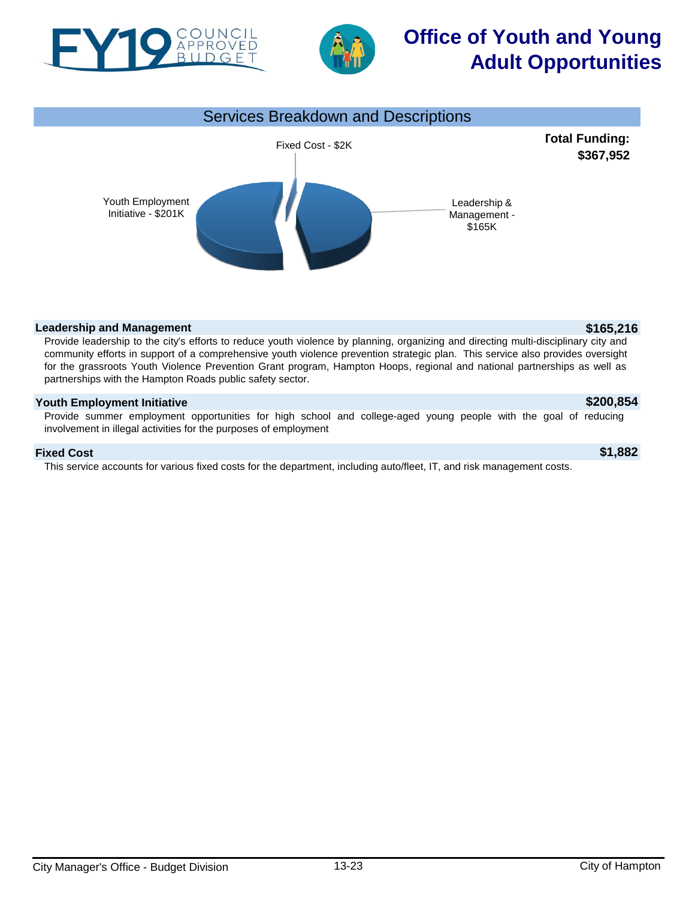



# **Office of Youth and Young Adult Opportunities**



### **Leadership and Management** *b* **165,216**

Provide leadership to the city's efforts to reduce youth violence by planning, organizing and directing multi-disciplinary city and community efforts in support of a comprehensive youth violence prevention strategic plan. This service also provides oversight for the grassroots Youth Violence Prevention Grant program, Hampton Hoops, regional and national partnerships as well as partnerships with the Hampton Roads public safety sector.

### **Youth Employment Initiative \$200,854**

Provide summer employment opportunities for high school and college-aged young people with the goal of reducing involvement in illegal activities for the purposes of employment

### **Fixed Cost \$1,882**

This service accounts for various fixed costs for the department, including auto/fleet, IT, and risk management costs.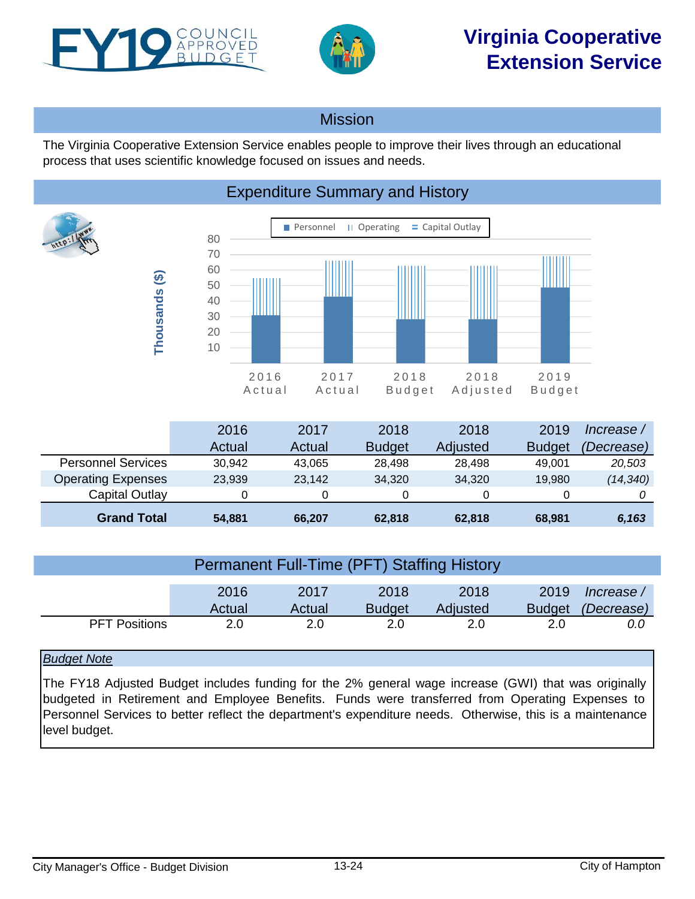<span id="page-23-0"></span>



## **Mission**

The Virginia Cooperative Extension Service enables people to improve their lives through an educational process that uses scientific knowledge focused on issues and needs.

## Expenditure Summary and History



|                           | 2016   | 2017   | 2018          | 2018            | 2019          | lncrease   |
|---------------------------|--------|--------|---------------|-----------------|---------------|------------|
|                           | Actual | Actual | <b>Budget</b> | <b>Adjusted</b> | <b>Budget</b> | (Decrease) |
| <b>Personnel Services</b> | 30.942 | 43.065 | 28.498        | 28.498          | 49.001        | 20,503     |
| <b>Operating Expenses</b> | 23,939 | 23.142 | 34,320        | 34,320          | 19,980        | (14, 340)  |
| Capital Outlay            |        |        |               | O               |               |            |
| <b>Grand Total</b>        | 54.881 | 66.207 | 62,818        | 62,818          | 68.981        | 6,163      |

| <b>Permanent Full-Time (PFT) Staffing History</b> |                |                |                       |                  |                       |                          |  |  |
|---------------------------------------------------|----------------|----------------|-----------------------|------------------|-----------------------|--------------------------|--|--|
|                                                   | 2016<br>Actual | 2017<br>Actual | 2018<br><b>Budget</b> | 2018<br>Adjusted | 2019<br><b>Budget</b> | / Increase<br>(Decrease) |  |  |
| <b>PFT Positions</b>                              | 2.0            | 2.0            | 2.0                   | 2.0              | 2.0                   | 0.0                      |  |  |

## *Budget Note*

The FY18 Adjusted Budget includes funding for the 2% general wage increase (GWI) that was originally budgeted in Retirement and Employee Benefits. Funds were transferred from Operating Expenses to Personnel Services to better reflect the department's expenditure needs. Otherwise, this is a maintenance level budget.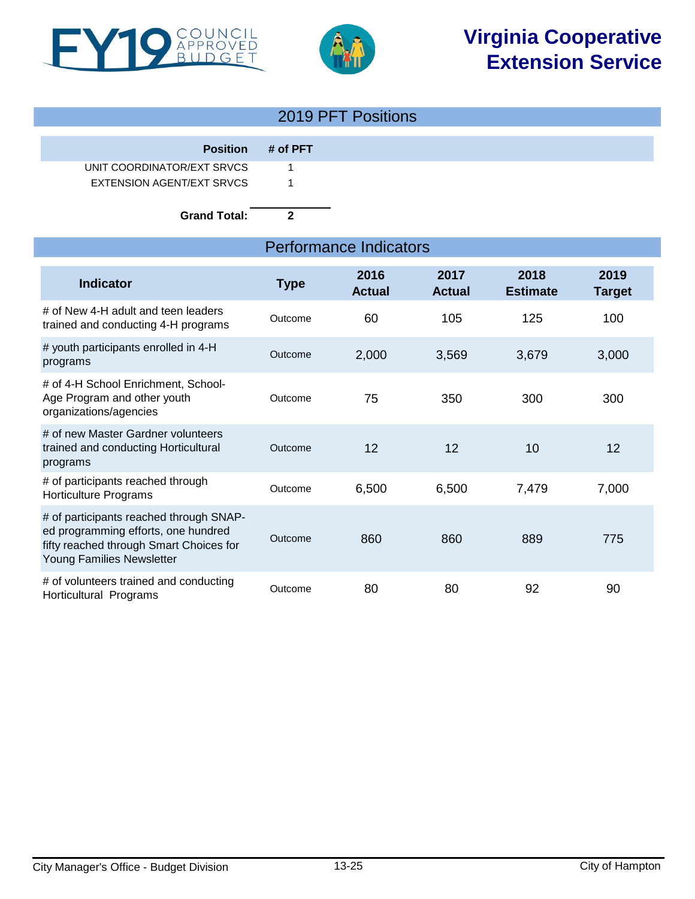



| Position # of PFT |
|-------------------|
|                   |
|                   |
|                   |
|                   |

**Grand Total: 2**

| <b>Performance Indicators</b>                                                                                                                          |             |                       |                       |                         |                       |  |
|--------------------------------------------------------------------------------------------------------------------------------------------------------|-------------|-----------------------|-----------------------|-------------------------|-----------------------|--|
| <b>Indicator</b>                                                                                                                                       | <b>Type</b> | 2016<br><b>Actual</b> | 2017<br><b>Actual</b> | 2018<br><b>Estimate</b> | 2019<br><b>Target</b> |  |
| # of New 4-H adult and teen leaders<br>trained and conducting 4-H programs                                                                             | Outcome     | 60                    | 105                   | 125                     | 100                   |  |
| # youth participants enrolled in 4-H<br>programs                                                                                                       | Outcome     | 2,000                 | 3,569                 | 3,679                   | 3,000                 |  |
| # of 4-H School Enrichment, School-<br>Age Program and other youth<br>organizations/agencies                                                           | Outcome     | 75                    | 350                   | 300                     | 300                   |  |
| # of new Master Gardner volunteers<br>trained and conducting Horticultural<br>programs                                                                 | Outcome     | 12                    | 12                    | 10                      | 12                    |  |
| # of participants reached through<br><b>Horticulture Programs</b>                                                                                      | Outcome     | 6,500                 | 6,500                 | 7,479                   | 7,000                 |  |
| # of participants reached through SNAP-<br>ed programming efforts, one hundred<br>fifty reached through Smart Choices for<br>Young Families Newsletter | Outcome     | 860                   | 860                   | 889                     | 775                   |  |
| # of volunteers trained and conducting<br>Horticultural Programs                                                                                       | Outcome     | 80                    | 80                    | 92                      | 90                    |  |